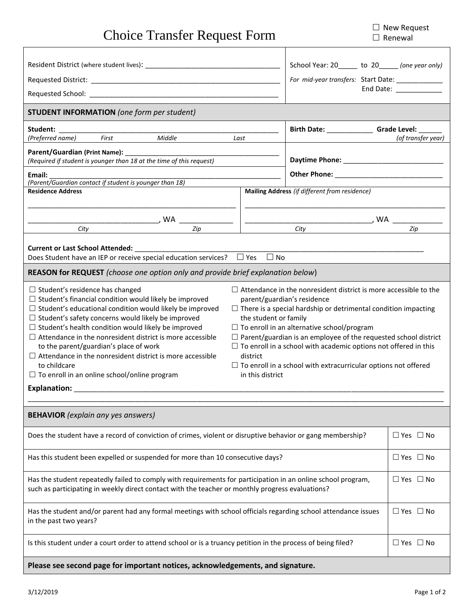| <b>Choice Transfer Request Form</b>                                                                                                                                                                                                                                                                                                                                                                                                                                                                                                                                                                                                                                                                                                                         |                                                                                                                                                                                                                                                                                                                                                                                                                                                                                                                            | $\Box$ ivew Request<br>$\Box$ Renewal |
|-------------------------------------------------------------------------------------------------------------------------------------------------------------------------------------------------------------------------------------------------------------------------------------------------------------------------------------------------------------------------------------------------------------------------------------------------------------------------------------------------------------------------------------------------------------------------------------------------------------------------------------------------------------------------------------------------------------------------------------------------------------|----------------------------------------------------------------------------------------------------------------------------------------------------------------------------------------------------------------------------------------------------------------------------------------------------------------------------------------------------------------------------------------------------------------------------------------------------------------------------------------------------------------------------|---------------------------------------|
|                                                                                                                                                                                                                                                                                                                                                                                                                                                                                                                                                                                                                                                                                                                                                             | School Year: 20_____ to 20_____ (one year only)<br>For mid-year transfers: Start Date: _____________                                                                                                                                                                                                                                                                                                                                                                                                                       | End Date: _____________               |
| <b>STUDENT INFORMATION</b> (one form per student)                                                                                                                                                                                                                                                                                                                                                                                                                                                                                                                                                                                                                                                                                                           |                                                                                                                                                                                                                                                                                                                                                                                                                                                                                                                            |                                       |
| Student:                                                                                                                                                                                                                                                                                                                                                                                                                                                                                                                                                                                                                                                                                                                                                    | Birth Date: _________________ Grade Level: _______<br>Last                                                                                                                                                                                                                                                                                                                                                                                                                                                                 | (of transfer year)                    |
| Parent/Guardian (Print Name): _____________<br>(Required if student is younger than 18 at the time of this request)                                                                                                                                                                                                                                                                                                                                                                                                                                                                                                                                                                                                                                         |                                                                                                                                                                                                                                                                                                                                                                                                                                                                                                                            |                                       |
| (Parent/Guardian contact if student is younger than 18)<br><b>Residence Address</b>                                                                                                                                                                                                                                                                                                                                                                                                                                                                                                                                                                                                                                                                         | Mailing Address (if different from residence)                                                                                                                                                                                                                                                                                                                                                                                                                                                                              |                                       |
| $\begin{array}{c c c c c c} \hline \text{City} & \text{WA} & \text{Zip} & \text{City} & \text{City} & \text{WA} & \text{Zip} \ \hline \end{array}$                                                                                                                                                                                                                                                                                                                                                                                                                                                                                                                                                                                                          |                                                                                                                                                                                                                                                                                                                                                                                                                                                                                                                            |                                       |
|                                                                                                                                                                                                                                                                                                                                                                                                                                                                                                                                                                                                                                                                                                                                                             |                                                                                                                                                                                                                                                                                                                                                                                                                                                                                                                            |                                       |
| Does Student have an IEP or receive special education services? $\Box$ Yes $\Box$ No<br>REASON for REQUEST (choose one option only and provide brief explanation below)<br>$\Box$ Student's residence has changed<br>$\Box$ Student's financial condition would likely be improved<br>$\Box$ Student's educational condition would likely be improved<br>$\Box$ Student's safety concerns would likely be improved<br>$\Box$ Student's health condition would likely be improved<br>$\Box$ Attendance in the nonresident district is more accessible<br>to the parent/guardian's place of work<br>$\Box$ Attendance in the nonresident district is more accessible<br>to childcare<br>$\Box$ To enroll in an online school/online program<br>Explanation: _ | $\Box$ Attendance in the nonresident district is more accessible to the<br>parent/guardian's residence<br>$\Box$ There is a special hardship or detrimental condition impacting<br>the student or family<br>$\Box$ To enroll in an alternative school/program<br>$\Box$ Parent/guardian is an employee of the requested school district<br>$\Box$ To enroll in a school with academic options not offered in this<br>district<br>$\Box$ To enroll in a school with extracurricular options not offered<br>in this district |                                       |
| <b>BEHAVIOR</b> (explain any yes answers)                                                                                                                                                                                                                                                                                                                                                                                                                                                                                                                                                                                                                                                                                                                   |                                                                                                                                                                                                                                                                                                                                                                                                                                                                                                                            |                                       |
| Does the student have a record of conviction of crimes, violent or disruptive behavior or gang membership?                                                                                                                                                                                                                                                                                                                                                                                                                                                                                                                                                                                                                                                  |                                                                                                                                                                                                                                                                                                                                                                                                                                                                                                                            | $\Box$ Yes $\Box$ No                  |
| Has this student been expelled or suspended for more than 10 consecutive days?                                                                                                                                                                                                                                                                                                                                                                                                                                                                                                                                                                                                                                                                              |                                                                                                                                                                                                                                                                                                                                                                                                                                                                                                                            | $\Box$ Yes $\Box$ No                  |
| Has the student repeatedly failed to comply with requirements for participation in an online school program,<br>such as participating in weekly direct contact with the teacher or monthly progress evaluations?                                                                                                                                                                                                                                                                                                                                                                                                                                                                                                                                            |                                                                                                                                                                                                                                                                                                                                                                                                                                                                                                                            | $\Box$ Yes $\Box$ No                  |
| Has the student and/or parent had any formal meetings with school officials regarding school attendance issues<br>in the past two years?                                                                                                                                                                                                                                                                                                                                                                                                                                                                                                                                                                                                                    |                                                                                                                                                                                                                                                                                                                                                                                                                                                                                                                            | $\Box$ Yes $\Box$ No                  |
| Is this student under a court order to attend school or is a truancy petition in the process of being filed?                                                                                                                                                                                                                                                                                                                                                                                                                                                                                                                                                                                                                                                |                                                                                                                                                                                                                                                                                                                                                                                                                                                                                                                            | $\Box$ Yes $\Box$ No                  |
| Please see second page for important notices, acknowledgements, and signature.                                                                                                                                                                                                                                                                                                                                                                                                                                                                                                                                                                                                                                                                              |                                                                                                                                                                                                                                                                                                                                                                                                                                                                                                                            |                                       |

□ New Request